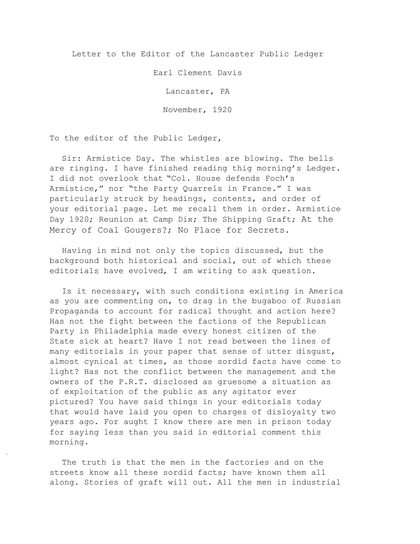Letter to the Editor of the Lancaster Public Ledger

Earl Clement Davis

Lancaster, PA

November, 1920

To the editor of the Public Ledger,

Sir: Armistice Day. The whistles are blowing. The bells are ringing. I have finished reading thig morning's Ledger. I did not overlook that "Col. House defends Foch's Armistice," nor "the Party Quarrels in France." I was particularly struck by headings, contents, and order of your editorial page. Let me recall them in order. Armistice Day 1920; Reunion at Camp Dix; The Shipping Graft; At the Mercy of Coal Gougers?; No Place for Secrets.

Having in mind not only the topics discussed, but the background both historical and social, out of which these editoria1s have evolved, I am writing to ask question.

Is it necessary, with such conditions existing in America as you are commenting on, to drag in the bugaboo of Russian Propaganda to account for radical thought and action here? Has not the fight between the factions of the Republican Party in Philadelphia made every honest citizen of the State sick at heart? Have I not read between the lines of many editorials in your paper that sense of utter disgust, almost cynica1 at times, as those sordid facts have come to light? Has not the conflict between the management and the owners of the P.R.T. disclosed as gruesome a situation as of exploitation of the public as any agitator ever pictured? You have said things in your editorials today that would have laid you open to charges of disloyalty two years ago. For aught I know there are men in prison today for saying less than you said in editorial comment this morning.

The truth is that the men in the factories and on the streets know all these sordid facts; have known them all along. Stories of graft wi11 out. All the men in industrial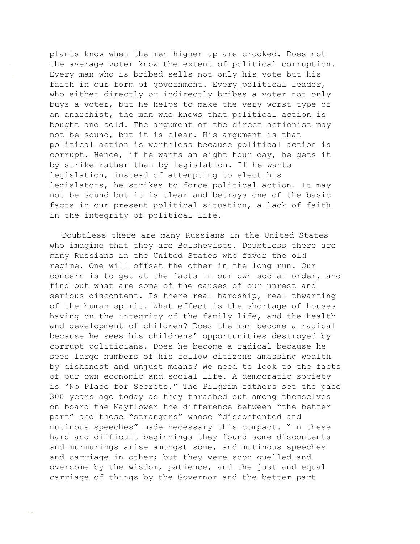plants know when the men higher up are crooked. Does not the average voter know the extent of political corruption. Every man who is bribed sells not only his vote but his faith in our form of government. Every political leader, who either directly or indirectly bribes a voter not only buys a voter, but he helps to make the very worst type of an anarchist, the man who knows that political action is bought and sold. The argument of the direct actionist may not be sound, but it is clear. His argument is that political action is worthless because political action is corrupt. Hence, if he wants an eight hour day, he gets it by strike rather than by legislation. If he wants legislation, instead of attempting to elect his legislators, he strikes to force political action. It may not be sound but it is clear and betrays one of the basic facts in our present political situation, a lack of faith in the integrity of political life.

Doubtless there are many Russians in the United States who imagine that they are Bolshevists. Doubtless there are many Russians in the United States who favor the old regime. One will offset the other in the long run. Our concern is to get at the facts in our own social order, and find out what are some of the causes of our unrest and serious discontent. Is there real hardship, real thwarting of the human spirit. What effect is the shortage of houses having on the integrity of the family life, and the health and development of children? Does the man become a radical because he sees his childrens' opportunities destroyed by corrupt politicians. Does he become a radical because he sees large numbers of his fellow citizens amassing wealth by dishonest and unjust means? We need to look to the facts of our own economic and social life. A democratic society is "No Place for Secrets." The Pilgrim fathers set the pace 300 years ago today as they thrashed out among themselves on board the Mayflower the difference between "the better part" and those "strangers" whose "discontented and mutinous speeches" made necessary this compact. "In these hard and difficult beginnings they found some discontents and murmurings arise amongst some, and mutinous speeches and carriage in other; but they were soon quelled and overcome by the wisdom, patience, and the just and equal carriage of things by the Governor and the better part